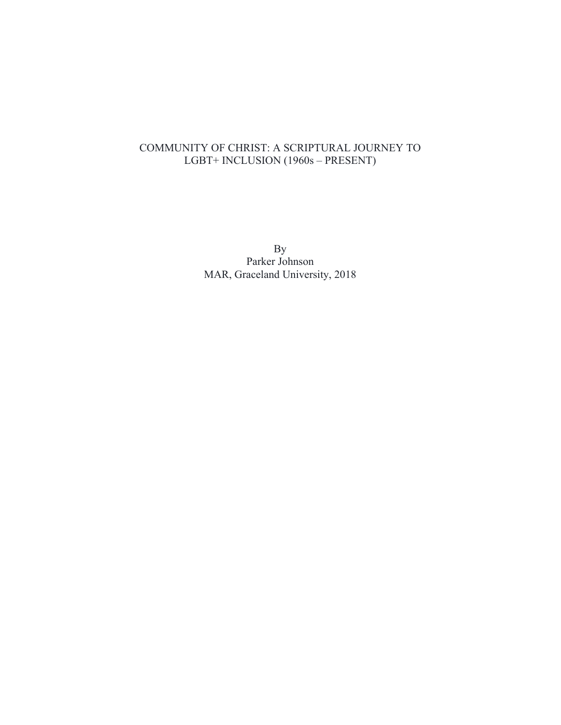# COMMUNITY OF CHRIST: A SCRIPTURAL JOURNEY TO LGBT+ INCLUSION (1960s – PRESENT)

By Parker Johnson MAR, Graceland University, 2018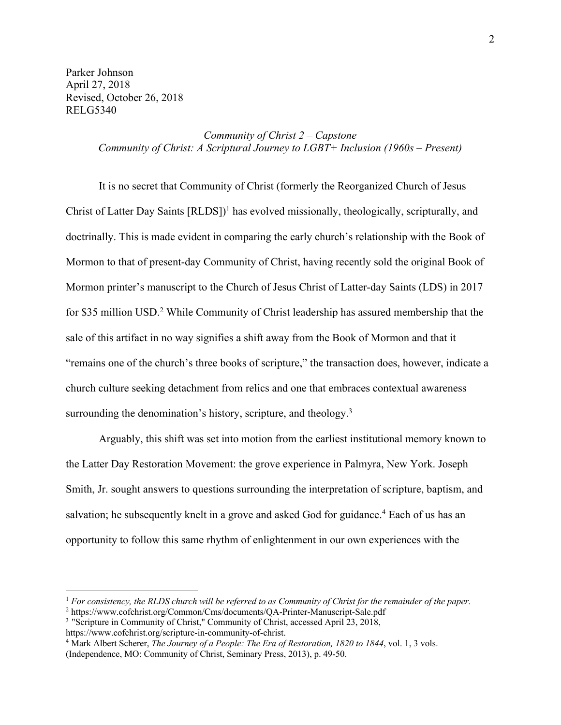Parker Johnson April 27, 2018 Revised, October 26, 2018 RELG5340

> *Community of Christ 2 – Capstone Community of Christ: A Scriptural Journey to LGBT+ Inclusion (1960s – Present)*

It is no secret that Community of Christ (formerly the Reorganized Church of Jesus Christ of Latter Day Saints  $[RLDS]$ <sup>1</sup> has evolved missionally, theologically, scripturally, and doctrinally. This is made evident in comparing the early church's relationship with the Book of Mormon to that of present-day Community of Christ, having recently sold the original Book of Mormon printer's manuscript to the Church of Jesus Christ of Latter-day Saints (LDS) in 2017 for \$35 million USD. <sup>2</sup> While Community of Christ leadership has assured membership that the sale of this artifact in no way signifies a shift away from the Book of Mormon and that it "remains one of the church's three books of scripture," the transaction does, however, indicate a church culture seeking detachment from relics and one that embraces contextual awareness surrounding the denomination's history, scripture, and theology.<sup>3</sup>

Arguably, this shift was set into motion from the earliest institutional memory known to the Latter Day Restoration Movement: the grove experience in Palmyra, New York. Joseph Smith, Jr. sought answers to questions surrounding the interpretation of scripture, baptism, and salvation; he subsequently knelt in a grove and asked God for guidance.<sup>4</sup> Each of us has an opportunity to follow this same rhythm of enlightenment in our own experiences with the

<sup>1</sup> *For consistency, the RLDS church will be referred to as Community of Christ for the remainder of the paper.*

<sup>2</sup> https://www.cofchrist.org/Common/Cms/documents/QA-Printer-Manuscript-Sale.pdf

<sup>&</sup>lt;sup>3</sup> "Scripture in Community of Christ," Community of Christ, accessed April 23, 2018,

https://www.cofchrist.org/scripture-in-community-of-christ.

<sup>4</sup> Mark Albert Scherer, *The Journey of a People: The Era of Restoration, 1820 to 1844*, vol. 1, 3 vols. (Independence, MO: Community of Christ, Seminary Press, 2013), p. 49-50.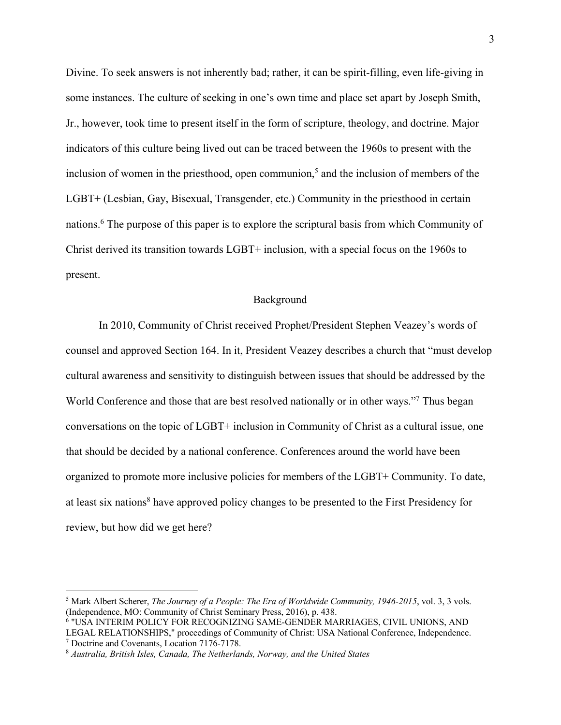Divine. To seek answers is not inherently bad; rather, it can be spirit-filling, even life-giving in some instances. The culture of seeking in one's own time and place set apart by Joseph Smith, Jr., however, took time to present itself in the form of scripture, theology, and doctrine. Major indicators of this culture being lived out can be traced between the 1960s to present with the inclusion of women in the priesthood, open communion,<sup>5</sup> and the inclusion of members of the LGBT+ (Lesbian, Gay, Bisexual, Transgender, etc.) Community in the priesthood in certain nations.6 The purpose of this paper is to explore the scriptural basis from which Community of Christ derived its transition towards LGBT+ inclusion, with a special focus on the 1960s to present.

#### Background

In 2010, Community of Christ received Prophet/President Stephen Veazey's words of counsel and approved Section 164. In it, President Veazey describes a church that "must develop cultural awareness and sensitivity to distinguish between issues that should be addressed by the World Conference and those that are best resolved nationally or in other ways."<sup>7</sup> Thus began conversations on the topic of LGBT+ inclusion in Community of Christ as a cultural issue, one that should be decided by a national conference. Conferences around the world have been organized to promote more inclusive policies for members of the LGBT+ Community. To date, at least six nations<sup>8</sup> have approved policy changes to be presented to the First Presidency for review, but how did we get here?

<sup>5</sup> Mark Albert Scherer, *The Journey of a People: The Era of Worldwide Community, 1946-2015*, vol. 3, 3 vols. (Independence, MO: Community of Christ Seminary Press, 2016), p. 438.

<sup>6</sup> "USA INTERIM POLICY FOR RECOGNIZING SAME-GENDER MARRIAGES, CIVIL UNIONS, AND LEGAL RELATIONSHIPS," proceedings of Community of Christ: USA National Conference, Independence. <sup>7</sup> Doctrine and Covenants, Location 7176-7178.

<sup>8</sup> *Australia, British Isles, Canada, The Netherlands, Norway, and the United States*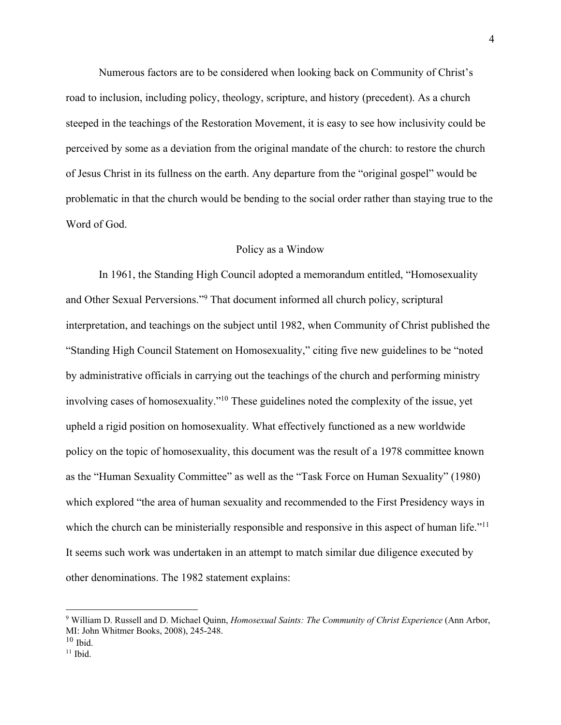Numerous factors are to be considered when looking back on Community of Christ's road to inclusion, including policy, theology, scripture, and history (precedent). As a church steeped in the teachings of the Restoration Movement, it is easy to see how inclusivity could be perceived by some as a deviation from the original mandate of the church: to restore the church of Jesus Christ in its fullness on the earth. Any departure from the "original gospel" would be problematic in that the church would be bending to the social order rather than staying true to the Word of God.

#### Policy as a Window

In 1961, the Standing High Council adopted a memorandum entitled, "Homosexuality and Other Sexual Perversions."9 That document informed all church policy, scriptural interpretation, and teachings on the subject until 1982, when Community of Christ published the "Standing High Council Statement on Homosexuality," citing five new guidelines to be "noted by administrative officials in carrying out the teachings of the church and performing ministry involving cases of homosexuality."10 These guidelines noted the complexity of the issue, yet upheld a rigid position on homosexuality. What effectively functioned as a new worldwide policy on the topic of homosexuality, this document was the result of a 1978 committee known as the "Human Sexuality Committee" as well as the "Task Force on Human Sexuality" (1980) which explored "the area of human sexuality and recommended to the First Presidency ways in which the church can be ministerially responsible and responsive in this aspect of human life."<sup>11</sup> It seems such work was undertaken in an attempt to match similar due diligence executed by other denominations. The 1982 statement explains:

<sup>9</sup> William D. Russell and D. Michael Quinn, *Homosexual Saints: The Community of Christ Experience* (Ann Arbor, MI: John Whitmer Books, 2008), 245-248.

 $10$  Ibid.

 $11$  Ibid.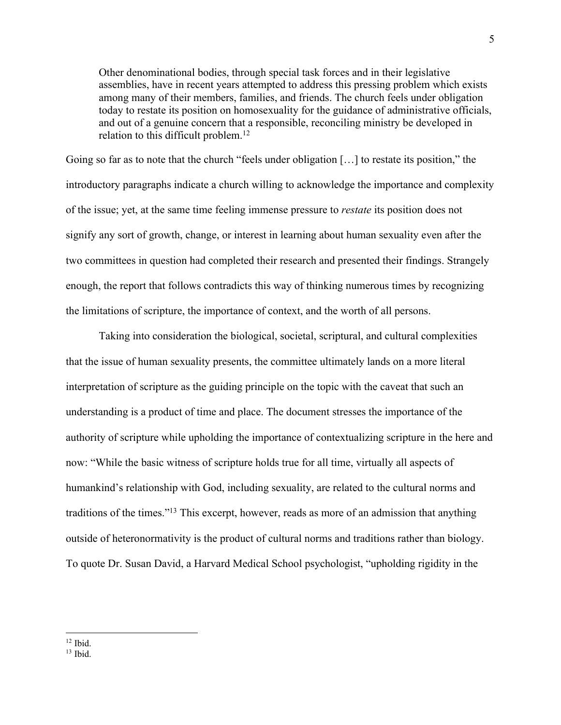Other denominational bodies, through special task forces and in their legislative assemblies, have in recent years attempted to address this pressing problem which exists among many of their members, families, and friends. The church feels under obligation today to restate its position on homosexuality for the guidance of administrative officials, and out of a genuine concern that a responsible, reconciling ministry be developed in relation to this difficult problem.<sup>12</sup>

Going so far as to note that the church "feels under obligation […] to restate its position," the introductory paragraphs indicate a church willing to acknowledge the importance and complexity of the issue; yet, at the same time feeling immense pressure to *restate* its position does not signify any sort of growth, change, or interest in learning about human sexuality even after the two committees in question had completed their research and presented their findings. Strangely enough, the report that follows contradicts this way of thinking numerous times by recognizing the limitations of scripture, the importance of context, and the worth of all persons.

Taking into consideration the biological, societal, scriptural, and cultural complexities that the issue of human sexuality presents, the committee ultimately lands on a more literal interpretation of scripture as the guiding principle on the topic with the caveat that such an understanding is a product of time and place. The document stresses the importance of the authority of scripture while upholding the importance of contextualizing scripture in the here and now: "While the basic witness of scripture holds true for all time, virtually all aspects of humankind's relationship with God, including sexuality, are related to the cultural norms and traditions of the times."13 This excerpt, however, reads as more of an admission that anything outside of heteronormativity is the product of cultural norms and traditions rather than biology. To quote Dr. Susan David, a Harvard Medical School psychologist, "upholding rigidity in the

 $12$  Ibid.

 $13$  Ibid.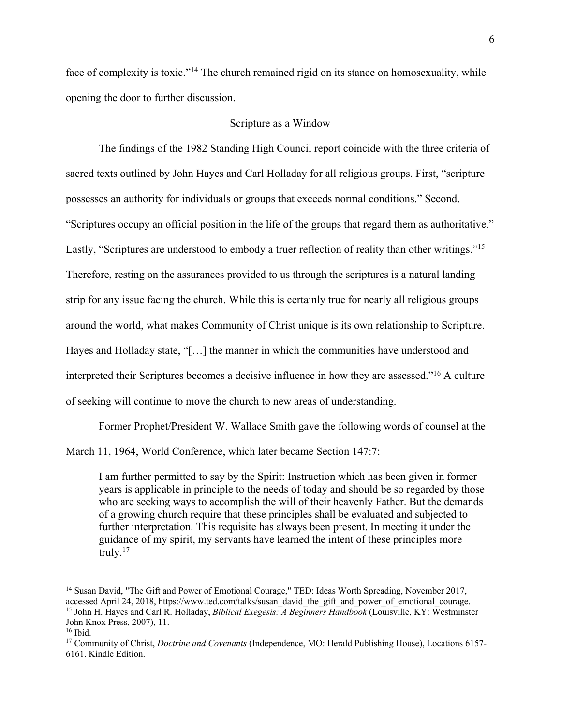face of complexity is toxic."<sup>14</sup> The church remained rigid on its stance on homosexuality, while opening the door to further discussion.

### Scripture as a Window

The findings of the 1982 Standing High Council report coincide with the three criteria of sacred texts outlined by John Hayes and Carl Holladay for all religious groups. First, "scripture possesses an authority for individuals or groups that exceeds normal conditions." Second, "Scriptures occupy an official position in the life of the groups that regard them as authoritative." Lastly, "Scriptures are understood to embody a truer reflection of reality than other writings."<sup>15</sup> Therefore, resting on the assurances provided to us through the scriptures is a natural landing strip for any issue facing the church. While this is certainly true for nearly all religious groups around the world, what makes Community of Christ unique is its own relationship to Scripture. Hayes and Holladay state, "[…] the manner in which the communities have understood and interpreted their Scriptures becomes a decisive influence in how they are assessed."16 A culture of seeking will continue to move the church to new areas of understanding.

Former Prophet/President W. Wallace Smith gave the following words of counsel at the

March 11, 1964, World Conference, which later became Section 147:7:

I am further permitted to say by the Spirit: Instruction which has been given in former years is applicable in principle to the needs of today and should be so regarded by those who are seeking ways to accomplish the will of their heavenly Father. But the demands of a growing church require that these principles shall be evaluated and subjected to further interpretation. This requisite has always been present. In meeting it under the guidance of my spirit, my servants have learned the intent of these principles more truly.17

<sup>&</sup>lt;sup>14</sup> Susan David, "The Gift and Power of Emotional Courage," TED: Ideas Worth Spreading, November 2017, accessed April 24, 2018, https://www.ted.com/talks/susan\_david\_the\_gift\_and\_power\_of\_emotional\_courage.

<sup>15</sup> John H. Hayes and Carl R. Holladay, *Biblical Exegesis: A Beginners Handbook* (Louisville, KY: Westminster John Knox Press, 2007), 11.

<sup>16</sup> Ibid.

<sup>17</sup> Community of Christ, *Doctrine and Covenants* (Independence, MO: Herald Publishing House), Locations 6157- 6161. Kindle Edition.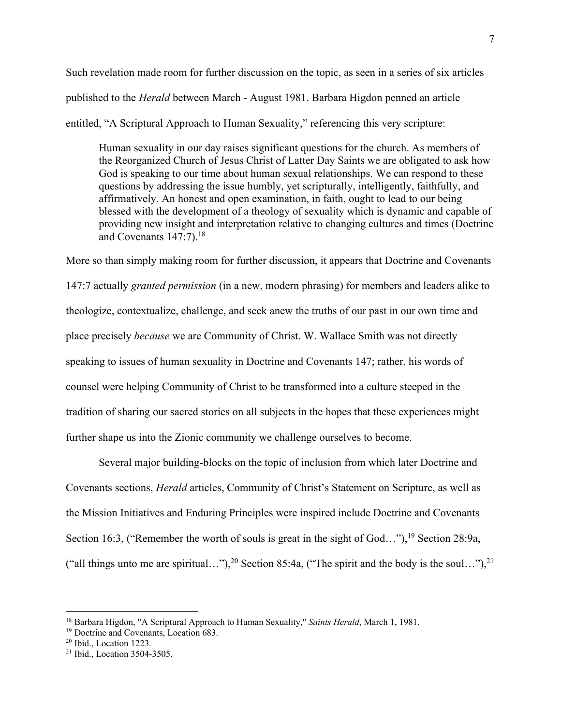Such revelation made room for further discussion on the topic, as seen in a series of six articles published to the *Herald* between March - August 1981. Barbara Higdon penned an article entitled, "A Scriptural Approach to Human Sexuality," referencing this very scripture:

Human sexuality in our day raises significant questions for the church. As members of the Reorganized Church of Jesus Christ of Latter Day Saints we are obligated to ask how God is speaking to our time about human sexual relationships. We can respond to these questions by addressing the issue humbly, yet scripturally, intelligently, faithfully, and affirmatively. An honest and open examination, in faith, ought to lead to our being blessed with the development of a theology of sexuality which is dynamic and capable of providing new insight and interpretation relative to changing cultures and times (Doctrine and Covenants  $147:7$ ).<sup>18</sup>

More so than simply making room for further discussion, it appears that Doctrine and Covenants 147:7 actually *granted permission* (in a new, modern phrasing) for members and leaders alike to theologize, contextualize, challenge, and seek anew the truths of our past in our own time and place precisely *because* we are Community of Christ. W. Wallace Smith was not directly speaking to issues of human sexuality in Doctrine and Covenants 147; rather, his words of counsel were helping Community of Christ to be transformed into a culture steeped in the tradition of sharing our sacred stories on all subjects in the hopes that these experiences might further shape us into the Zionic community we challenge ourselves to become.

Several major building-blocks on the topic of inclusion from which later Doctrine and Covenants sections, *Herald* articles, Community of Christ's Statement on Scripture, as well as the Mission Initiatives and Enduring Principles were inspired include Doctrine and Covenants Section 16:3, ("Remember the worth of souls is great in the sight of God..."), <sup>19</sup> Section 28:9a, ("all things unto me are spiritual..."),<sup>20</sup> Section 85:4a, ("The spirit and the body is the soul..."),<sup>21</sup>

<sup>18</sup> Barbara Higdon, "A Scriptural Approach to Human Sexuality," *Saints Herald*, March 1, 1981.

<sup>19</sup> Doctrine and Covenants, Location 683.

<sup>20</sup> Ibid., Location 1223.

<sup>21</sup> Ibid., Location 3504-3505.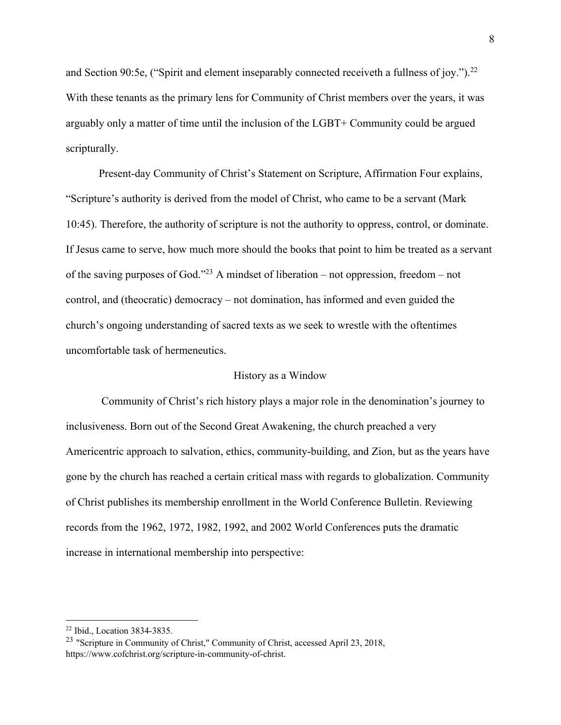and Section 90:5e, ("Spirit and element inseparably connected receiveth a fullness of joy.").<sup>22</sup> With these tenants as the primary lens for Community of Christ members over the years, it was arguably only a matter of time until the inclusion of the LGBT+ Community could be argued scripturally.

Present-day Community of Christ's Statement on Scripture, Affirmation Four explains, "Scripture's authority is derived from the model of Christ, who came to be a servant (Mark 10:45). Therefore, the authority of scripture is not the authority to oppress, control, or dominate. If Jesus came to serve, how much more should the books that point to him be treated as a servant of the saving purposes of God."<sup>23</sup> A mindset of liberation – not oppression, freedom – not control, and (theocratic) democracy – not domination, has informed and even guided the church's ongoing understanding of sacred texts as we seek to wrestle with the oftentimes uncomfortable task of hermeneutics.

### History as a Window

Community of Christ's rich history plays a major role in the denomination's journey to inclusiveness. Born out of the Second Great Awakening, the church preached a very Americentric approach to salvation, ethics, community-building, and Zion, but as the years have gone by the church has reached a certain critical mass with regards to globalization. Community of Christ publishes its membership enrollment in the World Conference Bulletin. Reviewing records from the 1962, 1972, 1982, 1992, and 2002 World Conferences puts the dramatic increase in international membership into perspective:

<sup>22</sup> Ibid., Location 3834-3835.

<sup>&</sup>lt;sup>23</sup> "Scripture in Community of Christ," Community of Christ, accessed April 23, 2018, https://www.cofchrist.org/scripture-in-community-of-christ.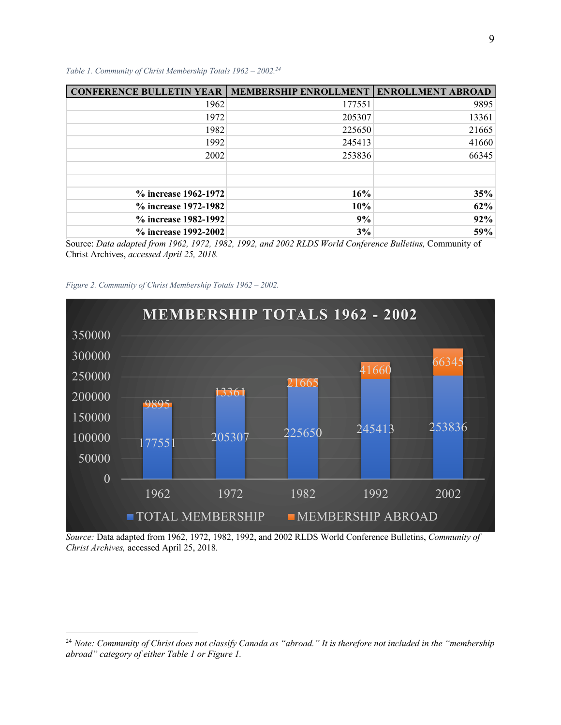*Table 1. Community of Christ Membership Totals 1962 – 2002.24*

| <b>CONFERENCE BULLETIN YEAR</b> | <b>MEMBERSHIP ENROLLMENT</b> | <b>ENROLLMENT ABROAD</b> |
|---------------------------------|------------------------------|--------------------------|
| 1962                            | 177551                       | 9895                     |
| 1972                            | 205307                       | 13361                    |
| 1982                            | 225650                       | 21665                    |
| 1992                            | 245413                       | 41660                    |
| 2002                            | 253836                       | 66345                    |
|                                 |                              |                          |
|                                 |                              |                          |
| % increase 1962-1972            | 16%                          | 35%                      |
| % increase 1972-1982            | 10%                          | 62%                      |
| % increase 1982-1992            | 9%                           | 92%                      |
| % increase 1992-2002            | 3%                           | 59%                      |

Source: *Data adapted from 1962, 1972, 1982, 1992, and 2002 RLDS World Conference Bulletins,* Community of Christ Archives, *accessed April 25, 2018.*





*Source:* Data adapted from 1962, 1972, 1982, 1992, and 2002 RLDS World Conference Bulletins, *Community of Christ Archives,* accessed April 25, 2018.

<sup>24</sup> *Note: Community of Christ does not classify Canada as "abroad." It is therefore not included in the "membership abroad" category of either Table 1 or Figure 1.*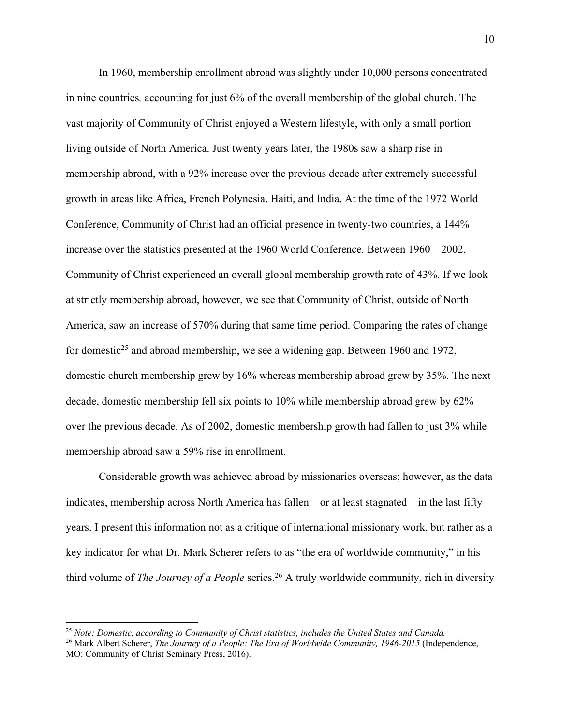In 1960, membership enrollment abroad was slightly under 10,000 persons concentrated in nine countries*,* accounting for just 6% of the overall membership of the global church. The vast majority of Community of Christ enjoyed a Western lifestyle, with only a small portion living outside of North America. Just twenty years later, the 1980s saw a sharp rise in membership abroad, with a 92% increase over the previous decade after extremely successful growth in areas like Africa, French Polynesia, Haiti, and India. At the time of the 1972 World Conference, Community of Christ had an official presence in twenty-two countries, a 144% increase over the statistics presented at the 1960 World Conference*.* Between 1960 – 2002, Community of Christ experienced an overall global membership growth rate of 43%. If we look at strictly membership abroad, however, we see that Community of Christ, outside of North America, saw an increase of 570% during that same time period. Comparing the rates of change for domestic<sup>25</sup> and abroad membership, we see a widening gap. Between 1960 and 1972, domestic church membership grew by 16% whereas membership abroad grew by 35%. The next decade, domestic membership fell six points to 10% while membership abroad grew by 62% over the previous decade. As of 2002, domestic membership growth had fallen to just 3% while membership abroad saw a 59% rise in enrollment.

Considerable growth was achieved abroad by missionaries overseas; however, as the data indicates, membership across North America has fallen – or at least stagnated – in the last fifty years. I present this information not as a critique of international missionary work, but rather as a key indicator for what Dr. Mark Scherer refers to as "the era of worldwide community," in his third volume of *The Journey of a People* series.<sup>26</sup> A truly worldwide community, rich in diversity

<sup>25</sup> *Note: Domestic, according to Community of Christ statistics, includes the United States and Canada.*

<sup>26</sup> Mark Albert Scherer, *The Journey of a People: The Era of Worldwide Community, 1946-2015* (Independence, MO: Community of Christ Seminary Press, 2016).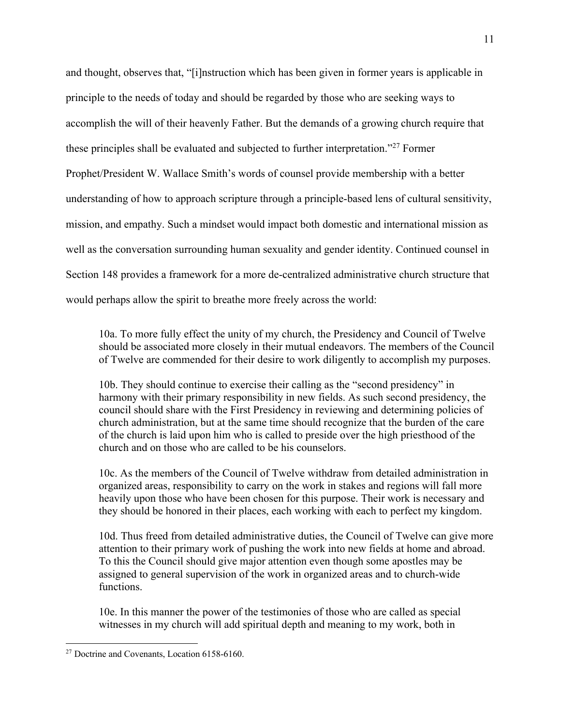and thought, observes that, "[i]nstruction which has been given in former years is applicable in principle to the needs of today and should be regarded by those who are seeking ways to accomplish the will of their heavenly Father. But the demands of a growing church require that these principles shall be evaluated and subjected to further interpretation."27 Former Prophet/President W. Wallace Smith's words of counsel provide membership with a better understanding of how to approach scripture through a principle-based lens of cultural sensitivity, mission, and empathy. Such a mindset would impact both domestic and international mission as well as the conversation surrounding human sexuality and gender identity. Continued counsel in Section 148 provides a framework for a more de-centralized administrative church structure that would perhaps allow the spirit to breathe more freely across the world:

10a. To more fully effect the unity of my church, the Presidency and Council of Twelve should be associated more closely in their mutual endeavors. The members of the Council of Twelve are commended for their desire to work diligently to accomplish my purposes.

10b. They should continue to exercise their calling as the "second presidency" in harmony with their primary responsibility in new fields. As such second presidency, the council should share with the First Presidency in reviewing and determining policies of church administration, but at the same time should recognize that the burden of the care of the church is laid upon him who is called to preside over the high priesthood of the church and on those who are called to be his counselors.

10c. As the members of the Council of Twelve withdraw from detailed administration in organized areas, responsibility to carry on the work in stakes and regions will fall more heavily upon those who have been chosen for this purpose. Their work is necessary and they should be honored in their places, each working with each to perfect my kingdom.

10d. Thus freed from detailed administrative duties, the Council of Twelve can give more attention to their primary work of pushing the work into new fields at home and abroad. To this the Council should give major attention even though some apostles may be assigned to general supervision of the work in organized areas and to church-wide functions.

10e. In this manner the power of the testimonies of those who are called as special witnesses in my church will add spiritual depth and meaning to my work, both in

<sup>&</sup>lt;sup>27</sup> Doctrine and Covenants, Location 6158-6160.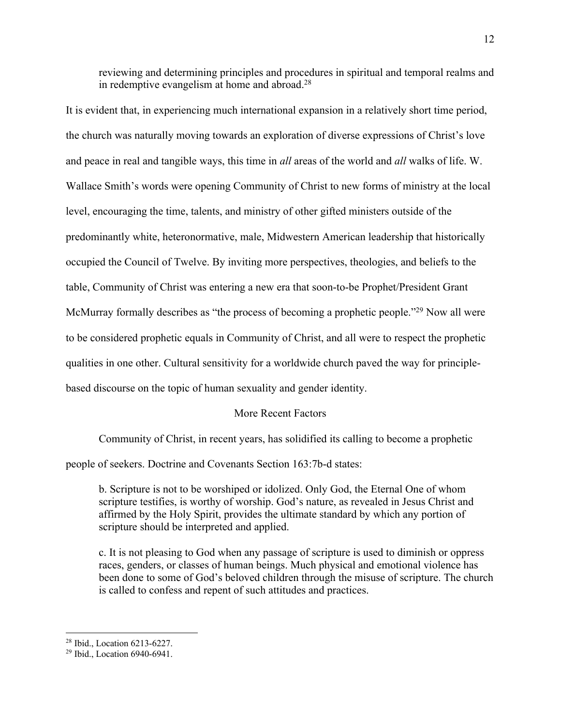reviewing and determining principles and procedures in spiritual and temporal realms and in redemptive evangelism at home and abroad.28

It is evident that, in experiencing much international expansion in a relatively short time period, the church was naturally moving towards an exploration of diverse expressions of Christ's love and peace in real and tangible ways, this time in *all* areas of the world and *all* walks of life. W. Wallace Smith's words were opening Community of Christ to new forms of ministry at the local level, encouraging the time, talents, and ministry of other gifted ministers outside of the predominantly white, heteronormative, male, Midwestern American leadership that historically occupied the Council of Twelve. By inviting more perspectives, theologies, and beliefs to the table, Community of Christ was entering a new era that soon-to-be Prophet/President Grant McMurray formally describes as "the process of becoming a prophetic people."<sup>29</sup> Now all were to be considered prophetic equals in Community of Christ, and all were to respect the prophetic qualities in one other. Cultural sensitivity for a worldwide church paved the way for principlebased discourse on the topic of human sexuality and gender identity.

# More Recent Factors

Community of Christ, in recent years, has solidified its calling to become a prophetic

people of seekers. Doctrine and Covenants Section 163:7b-d states:

b. Scripture is not to be worshiped or idolized. Only God, the Eternal One of whom scripture testifies, is worthy of worship. God's nature, as revealed in Jesus Christ and affirmed by the Holy Spirit, provides the ultimate standard by which any portion of scripture should be interpreted and applied.

c. It is not pleasing to God when any passage of scripture is used to diminish or oppress races, genders, or classes of human beings. Much physical and emotional violence has been done to some of God's beloved children through the misuse of scripture. The church is called to confess and repent of such attitudes and practices.

<sup>28</sup> Ibid., Location 6213-6227.

<sup>29</sup> Ibid., Location 6940-6941.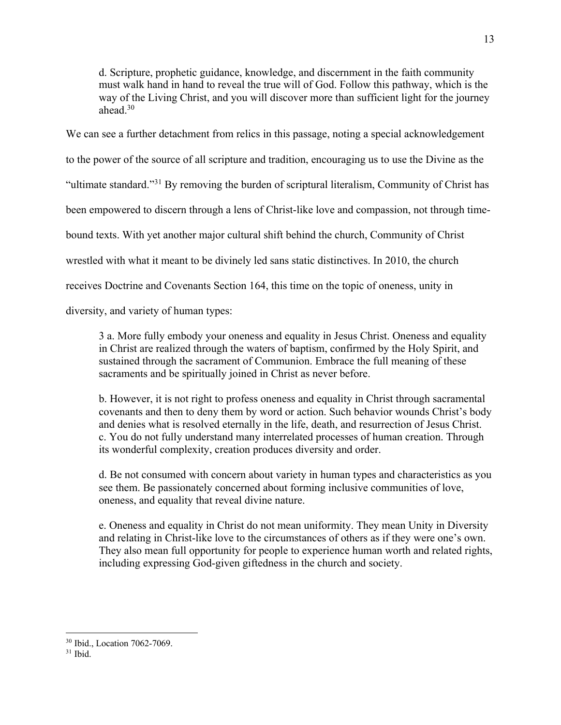d. Scripture, prophetic guidance, knowledge, and discernment in the faith community must walk hand in hand to reveal the true will of God. Follow this pathway, which is the way of the Living Christ, and you will discover more than sufficient light for the journey ahead.30

We can see a further detachment from relics in this passage, noting a special acknowledgement to the power of the source of all scripture and tradition, encouraging us to use the Divine as the "ultimate standard."31 By removing the burden of scriptural literalism, Community of Christ has been empowered to discern through a lens of Christ-like love and compassion, not through timebound texts. With yet another major cultural shift behind the church, Community of Christ wrestled with what it meant to be divinely led sans static distinctives. In 2010, the church receives Doctrine and Covenants Section 164, this time on the topic of oneness, unity in diversity, and variety of human types:

3 a. More fully embody your oneness and equality in Jesus Christ. Oneness and equality in Christ are realized through the waters of baptism, confirmed by the Holy Spirit, and sustained through the sacrament of Communion. Embrace the full meaning of these sacraments and be spiritually joined in Christ as never before.

b. However, it is not right to profess oneness and equality in Christ through sacramental covenants and then to deny them by word or action. Such behavior wounds Christ's body and denies what is resolved eternally in the life, death, and resurrection of Jesus Christ. c. You do not fully understand many interrelated processes of human creation. Through its wonderful complexity, creation produces diversity and order.

d. Be not consumed with concern about variety in human types and characteristics as you see them. Be passionately concerned about forming inclusive communities of love, oneness, and equality that reveal divine nature.

e. Oneness and equality in Christ do not mean uniformity. They mean Unity in Diversity and relating in Christ-like love to the circumstances of others as if they were one's own. They also mean full opportunity for people to experience human worth and related rights, including expressing God-given giftedness in the church and society.

<sup>30</sup> Ibid., Location 7062-7069.

 $31$  Ibid.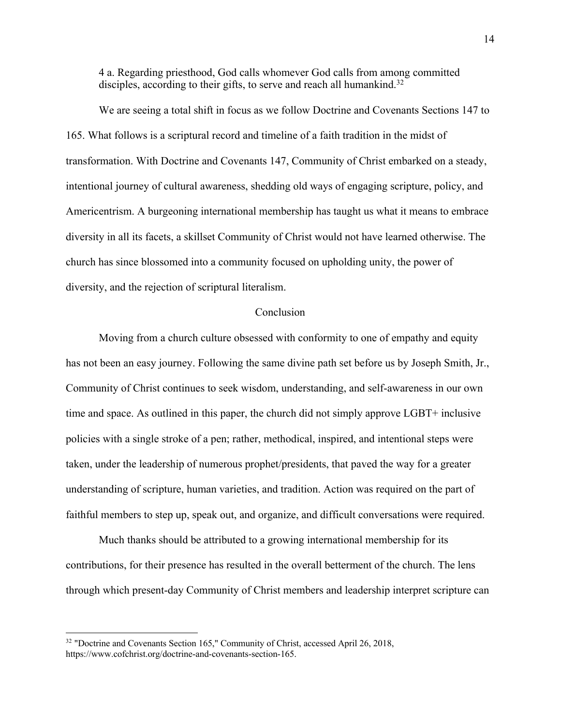4 a. Regarding priesthood, God calls whomever God calls from among committed disciples, according to their gifts, to serve and reach all humankind.<sup>32</sup>

We are seeing a total shift in focus as we follow Doctrine and Covenants Sections 147 to 165. What follows is a scriptural record and timeline of a faith tradition in the midst of transformation. With Doctrine and Covenants 147, Community of Christ embarked on a steady, intentional journey of cultural awareness, shedding old ways of engaging scripture, policy, and Americentrism. A burgeoning international membership has taught us what it means to embrace diversity in all its facets, a skillset Community of Christ would not have learned otherwise. The church has since blossomed into a community focused on upholding unity, the power of diversity, and the rejection of scriptural literalism.

## Conclusion

Moving from a church culture obsessed with conformity to one of empathy and equity has not been an easy journey. Following the same divine path set before us by Joseph Smith, Jr., Community of Christ continues to seek wisdom, understanding, and self-awareness in our own time and space. As outlined in this paper, the church did not simply approve LGBT+ inclusive policies with a single stroke of a pen; rather, methodical, inspired, and intentional steps were taken, under the leadership of numerous prophet/presidents, that paved the way for a greater understanding of scripture, human varieties, and tradition. Action was required on the part of faithful members to step up, speak out, and organize, and difficult conversations were required.

Much thanks should be attributed to a growing international membership for its contributions, for their presence has resulted in the overall betterment of the church. The lens through which present-day Community of Christ members and leadership interpret scripture can

<sup>&</sup>lt;sup>32</sup> "Doctrine and Covenants Section 165," Community of Christ, accessed April 26, 2018, https://www.cofchrist.org/doctrine-and-covenants-section-165.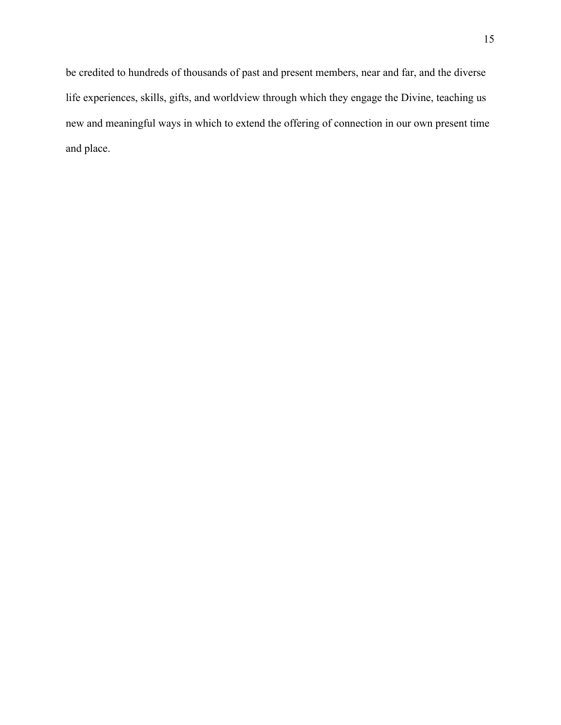be credited to hundreds of thousands of past and present members, near and far, and the diverse life experiences, skills, gifts, and worldview through which they engage the Divine, teaching us new and meaningful ways in which to extend the offering of connection in our own present time and place.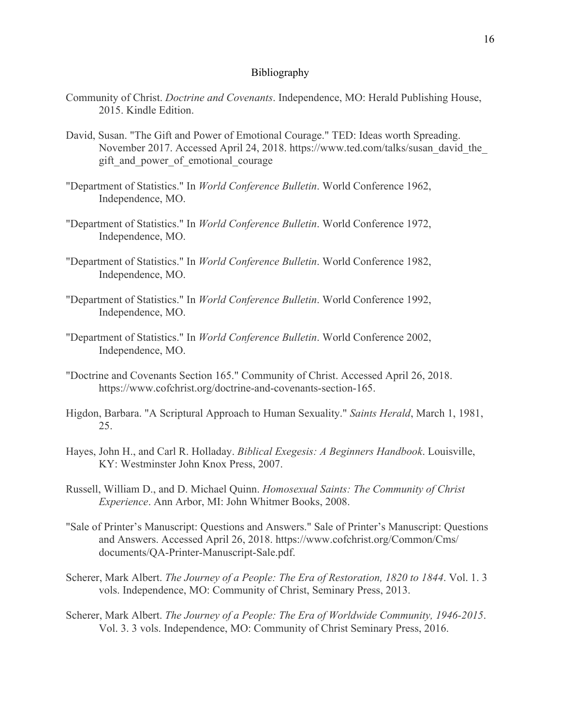#### Bibliography

- Community of Christ. *Doctrine and Covenants*. Independence, MO: Herald Publishing House, 2015. Kindle Edition.
- David, Susan. "The Gift and Power of Emotional Courage." TED: Ideas worth Spreading. November 2017. Accessed April 24, 2018. https://www.ted.com/talks/susan\_david\_the\_ gift and power of emotional courage
- "Department of Statistics." In *World Conference Bulletin*. World Conference 1962, Independence, MO.
- "Department of Statistics." In *World Conference Bulletin*. World Conference 1972, Independence, MO.
- "Department of Statistics." In *World Conference Bulletin*. World Conference 1982, Independence, MO.
- "Department of Statistics." In *World Conference Bulletin*. World Conference 1992, Independence, MO.
- "Department of Statistics." In *World Conference Bulletin*. World Conference 2002, Independence, MO.
- "Doctrine and Covenants Section 165." Community of Christ. Accessed April 26, 2018. https://www.cofchrist.org/doctrine-and-covenants-section-165.
- Higdon, Barbara. "A Scriptural Approach to Human Sexuality." *Saints Herald*, March 1, 1981, 25.
- Hayes, John H., and Carl R. Holladay. *Biblical Exegesis: A Beginners Handbook*. Louisville, KY: Westminster John Knox Press, 2007.
- Russell, William D., and D. Michael Quinn. *Homosexual Saints: The Community of Christ Experience*. Ann Arbor, MI: John Whitmer Books, 2008.
- "Sale of Printer's Manuscript: Questions and Answers." Sale of Printer's Manuscript: Questions and Answers. Accessed April 26, 2018. https://www.cofchrist.org/Common/Cms/ documents/QA-Printer-Manuscript-Sale.pdf.
- Scherer, Mark Albert. *The Journey of a People: The Era of Restoration, 1820 to 1844*. Vol. 1. 3 vols. Independence, MO: Community of Christ, Seminary Press, 2013.
- Scherer, Mark Albert. *The Journey of a People: The Era of Worldwide Community, 1946-2015*. Vol. 3. 3 vols. Independence, MO: Community of Christ Seminary Press, 2016.